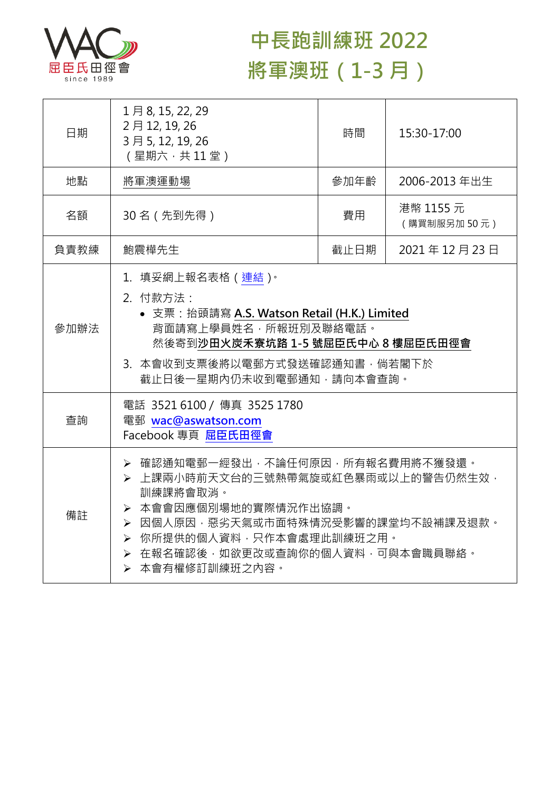

## **中長跑訓練班 2022 將軍澳班(1-3 月)**

| 日期   | 1月8, 15, 22, 29<br>2月12, 19, 26<br>3月5, 12, 19, 26<br>(星期六,共11堂)                                                                                                                                                                      | 時間   | 15:30-17:00              |  |
|------|---------------------------------------------------------------------------------------------------------------------------------------------------------------------------------------------------------------------------------------|------|--------------------------|--|
| 地點   | 將軍澳運動場                                                                                                                                                                                                                                | 參加年齡 | 2006-2013 年出生            |  |
| 名額   | 30名 (先到先得)                                                                                                                                                                                                                            | 費用   | 港幣 1155 元<br>(購買制服另加50元) |  |
| 負責教練 | 鮑震樺先生                                                                                                                                                                                                                                 | 截止日期 | 2021年12月23日              |  |
| 參加辦法 | 1.填妥網上報名表格(連結) <sup>。</sup><br>2. 付款方法:<br>• 支票: 抬頭請寫 A.S. Watson Retail (H.K.) Limited<br>背面請寫上學員姓名,所報班別及聯絡電話。<br>然後寄到沙田火炭禾寮坑路 1-5 號屈臣氏中心 8 樓屈臣氏田徑會<br>3. 本會收到支票後將以電郵方式發送確認通知書,倘若閣下於<br>截止日後一星期內仍未收到電郵通知,請向本會查詢。                     |      |                          |  |
| 查詢   | 電話 3521 6100 / 傳真 3525 1780<br>電郵 wac@aswatson.com<br>Facebook 專頁 屈臣氏田徑會                                                                                                                                                              |      |                          |  |
| 備註   | ▶ 確認通知電郵一經發出,不論任何原因,所有報名費用將不獲發還。<br>> 上課兩小時前天文台的三號熱帶氣旋或紅色暴雨或以上的警告仍然生效,<br>訓練課將會取消。<br>> 本會會因應個別場地的實際情況作出協調。<br>> 因個人原因,惡劣天氣或市面特殊情況受影響的課堂均不設補課及退款。<br>▶ 你所提供的個人資料,只作本會處理此訓練班之用。<br>> 在報名確認後,如欲更改或查詢你的個人資料,可與本會職員聯絡。<br>> 本會有權修訂訓練班之內容。 |      |                          |  |